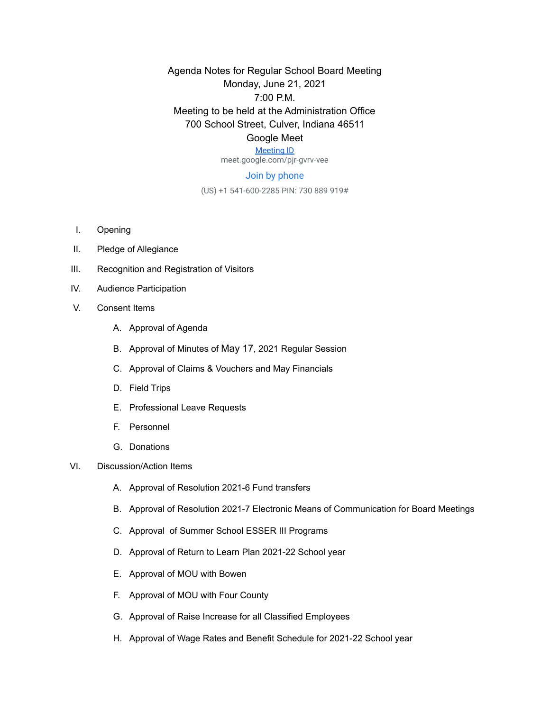Agenda Notes for Regular School Board Meeting Monday, June 21, 2021 7:00 P.M. Meeting to be held at the Administration Office 700 School Street, Culver, Indiana 46511 Google Meet

## [Meeting ID](https://meet.google.com/pjr-gvrv-vee)

meet.google.com/pjr-gvrv-vee

## Join by phone

(US) +1 541-600-2285 PIN: 730 889 919#

- I. Opening
- II. Pledge of Allegiance
- III. Recognition and Registration of Visitors
- IV. Audience Participation
- V. Consent Items
	- A. Approval of Agenda
	- B. Approval of Minutes of May 17, 2021 Regular Session
	- C. Approval of Claims & Vouchers and May Financials
	- D. Field Trips
	- E. Professional Leave Requests
	- F. Personnel
	- G. Donations
- VI. Discussion/Action Items
	- A. Approval of Resolution 2021-6 Fund transfers
	- B. Approval of Resolution 2021-7 Electronic Means of Communication for Board Meetings
	- C. Approval of Summer School ESSER III Programs
	- D. Approval of Return to Learn Plan 2021-22 School year
	- E. Approval of MOU with Bowen
	- F. Approval of MOU with Four County
	- G. Approval of Raise Increase for all Classified Employees
	- H. Approval of Wage Rates and Benefit Schedule for 2021-22 School year